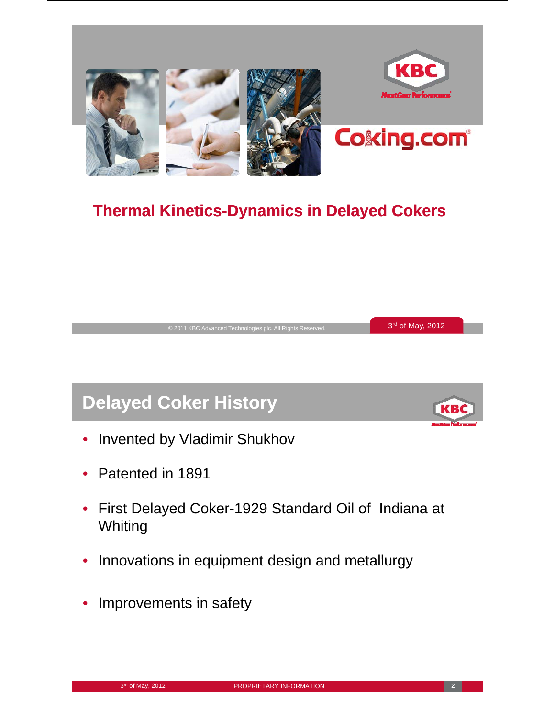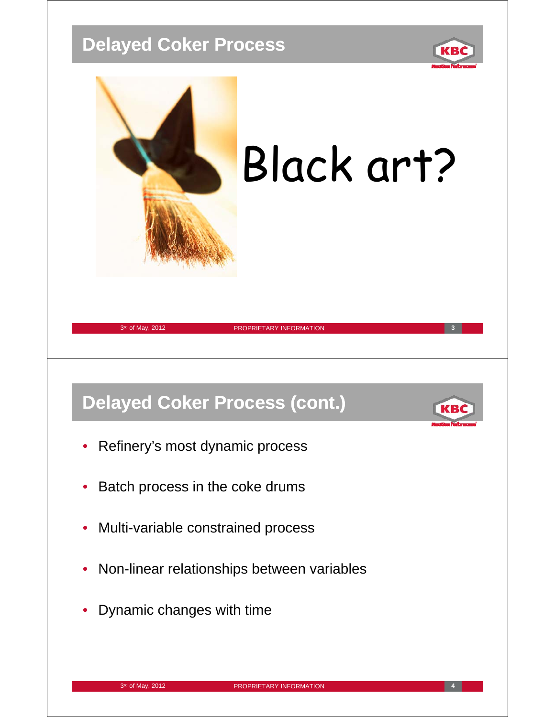#### **Delayed Coker Process**





# Black art?

#### 3<sup>rd</sup> of May, 2012 **1998 120 PROPRIETARY INFORMATION**

#### **Delayed Coker Process (cont.)**

- Refinery's most dynamic process
- Batch process in the coke drums
- Multi-variable constrained process
- Non-linear relationships between variables
- Dynamic changes with time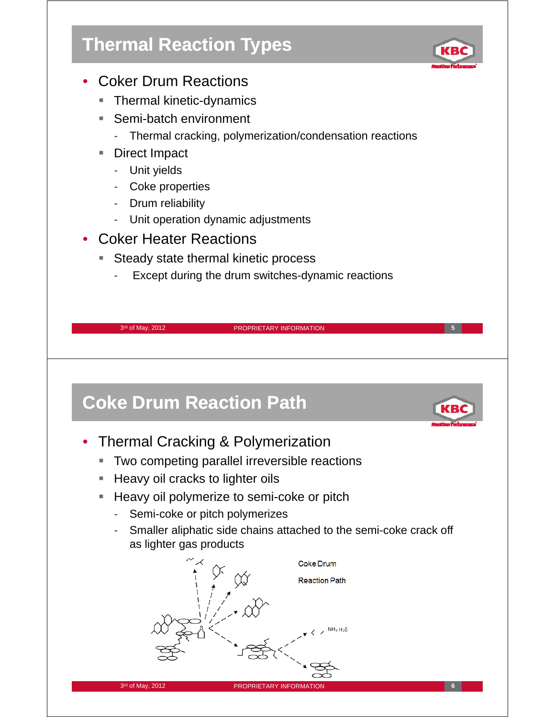### **Thermal Reaction Types**



- Coker Drum Reactions
	- **Thermal kinetic-dynamics**
	- Semi-batch environment
		- Thermal cracking, polymerization/condensation reactions
	- Direct Impact
		- Unit yields
		- Coke properties
		- Drum reliability
		- Unit operation dynamic adjustments
- Coker Heater Reactions
	- Steady state thermal kinetic process
		- Except during the drum switches-dynamic reactions

3<sup>rd</sup> of May, 2012 **19 PROPRIETARY INFORMATION** 

#### **Coke Drum Reaction Path**

- Thermal Cracking & Polymerization
	- **Two competing parallel irreversible reactions**
	- **Heavy oil cracks to lighter oils**
	- **Heavy oil polymerize to semi-coke or pitch** 
		- Semi-coke or pitch polymerizes
		- Smaller aliphatic side chains attached to the semi-coke crack off as lighter gas products

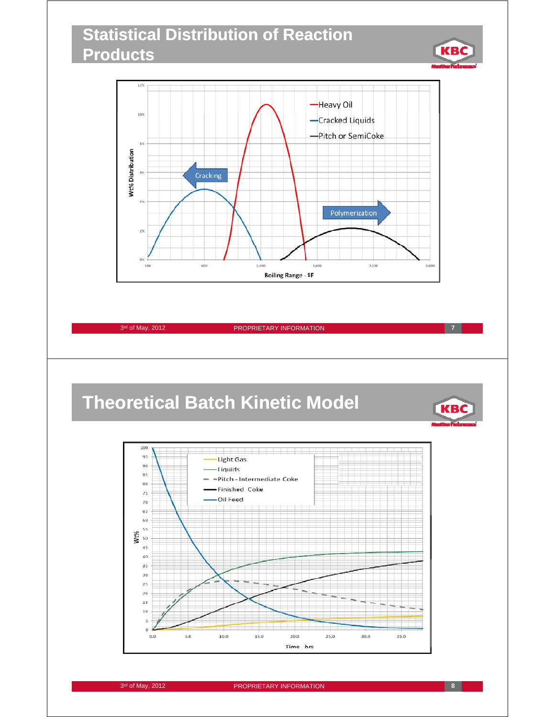#### **Statistical Distribution of Reaction Products**



3<sup>rd</sup> of May, 2012 **PROPRIETARY INFORMATION 7** *7* 

### **Theoretical Batch Kinetic Model**



KBC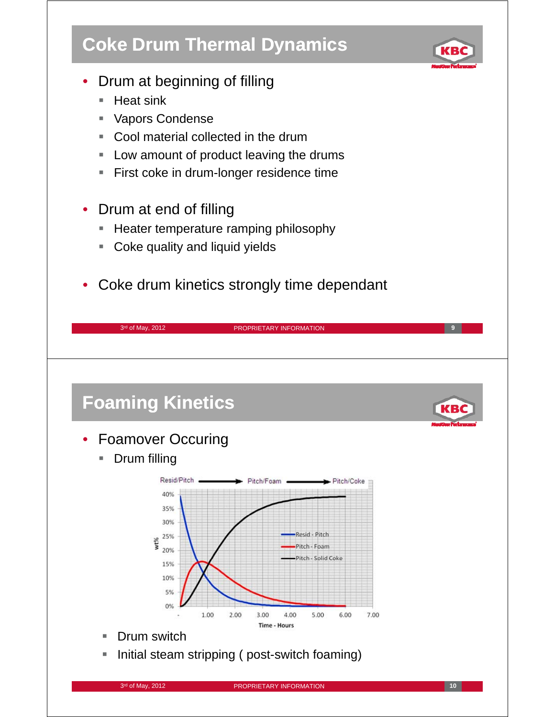### **Coke Drum Thermal Dynamics**



- Drum at beginning of filling
	- $H$  Heat sink
	- **Vapors Condense**
	- Cool material collected in the drum
	- $\blacksquare$  Low amount of product leaving the drums
	- **First coke in drum-longer residence time**
- Drum at end of filling
	- **Heater temperature ramping philosophy**
	- $\blacksquare$  Coke quality and liquid yields
- Coke drum kinetics strongly time dependant Coke drum kinetics strongly time

PROPRIETARY INFORMATION 3 **9** rd of May, 2012



- Foamover Occuring
	- **Drum filling**



- Drum switch
- Initial steam stripping ( post-switch foaming)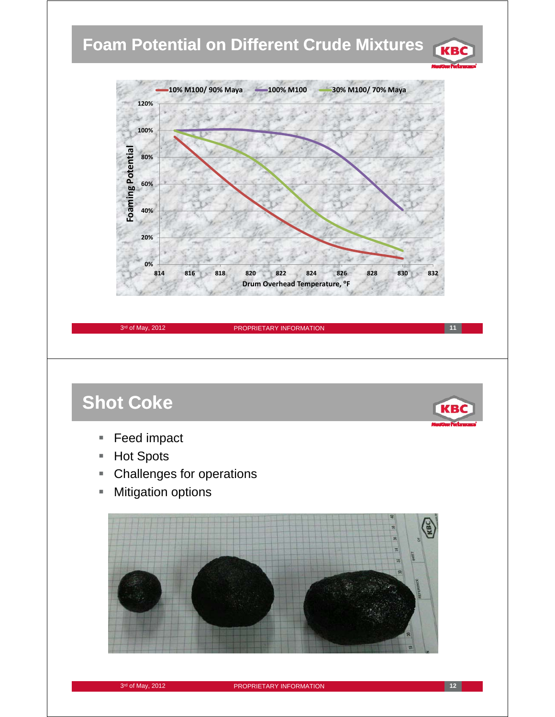## **Foam Potential on Different Crude Mixtures**



#### and of May, 2012 **11 PROPRIETARY INFORMATION 11 11**

#### **Shot Coke**

- Feed impact
- Hot Spots
- $\blacksquare$  Challenges for operations
- Mitigation options

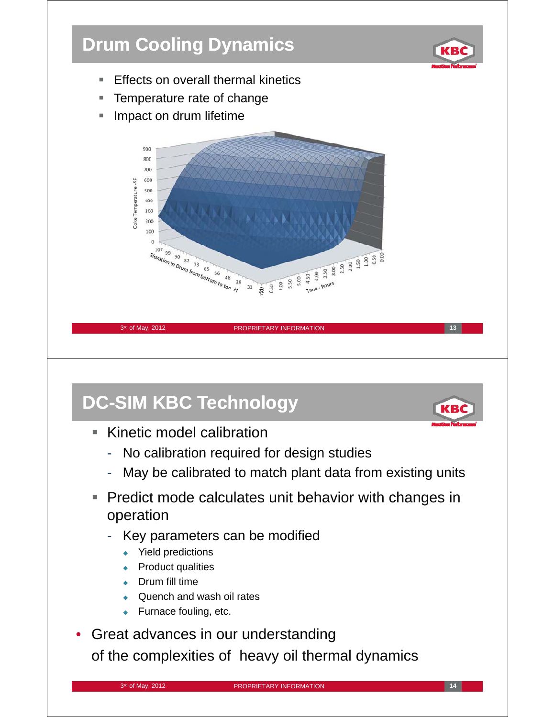#### **Drum Cooling Dynamics**

- **Effects on overall thermal kinetics**
- Temperature rate of change
- $\blacksquare$  Impact on drum lifetime



#### 3<sup>rd</sup> of May, 2012 **13 13 PROPRIETARY INFORMATION 13 13**

## **DC-SIM KBC Technology**

- $\blacksquare$  Kinetic model calibration
	- No calibration required for design studies
	- May be calibrated to match plant data from existing units
- **Predict mode calculates unit behavior with changes in** operation
	- Key parameters can be modified
		- Yield predictions
		- Product qualities
		- Drum fill time
		- Quench and wash oil rates
		- ◆ Furnace fouling, etc.
- Great advances in our understanding of the complexities of heavy oil thermal dynamics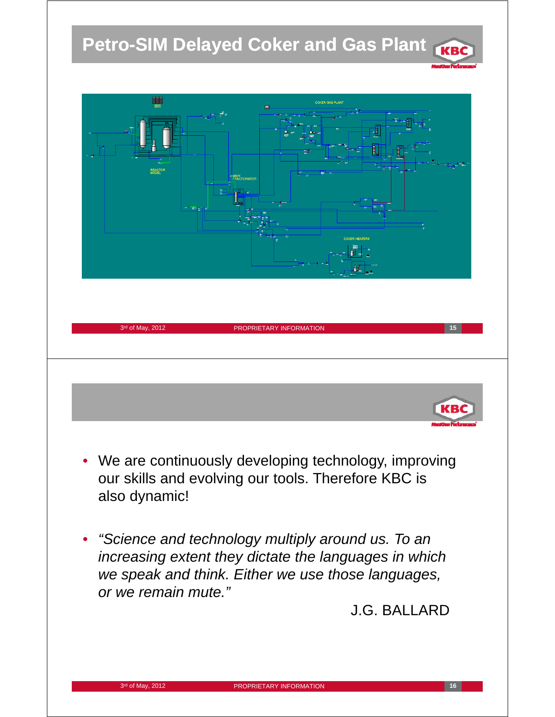